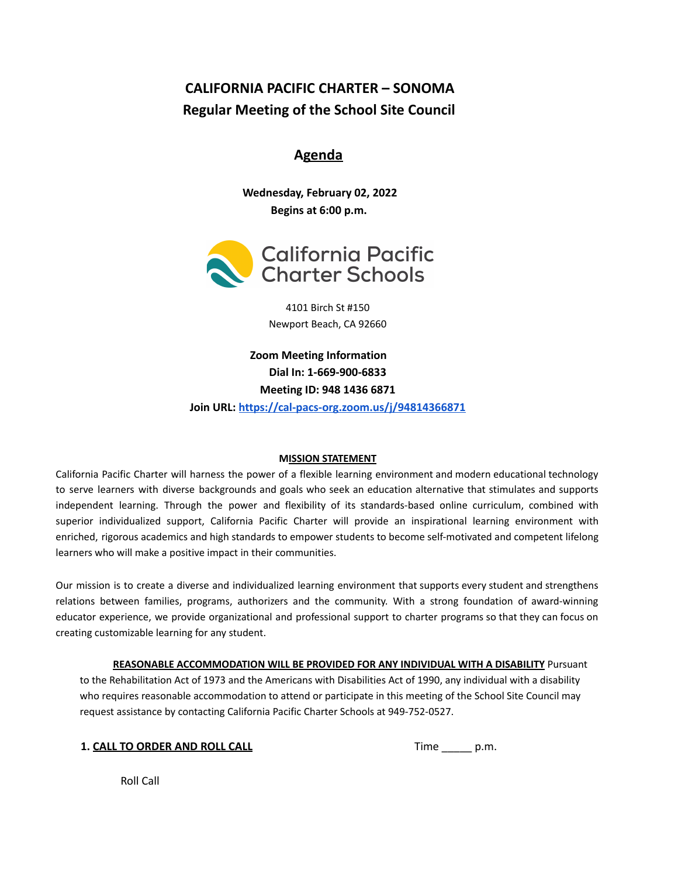# **CALIFORNIA PACIFIC CHARTER – SONOMA Regular Meeting of the School Site Council**

# **Agenda**

**Wednesday, February 02, 2022 Begins at 6:00 p.m.**



4101 Birch St #150 Newport Beach, CA 92660

**Zoom Meeting Information Dial In: 1-669-900-6833 Meeting ID: 948 1436 6871 Join URL: <https://cal-pacs-org.zoom.us/j/94814366871>**

### **MISSION STATEMENT**

California Pacific Charter will harness the power of a flexible learning environment and modern educational technology to serve learners with diverse backgrounds and goals who seek an education alternative that stimulates and supports independent learning. Through the power and flexibility of its standards-based online curriculum, combined with superior individualized support, California Pacific Charter will provide an inspirational learning environment with enriched, rigorous academics and high standards to empower students to become self-motivated and competent lifelong learners who will make a positive impact in their communities.

Our mission is to create a diverse and individualized learning environment that supports every student and strengthens relations between families, programs, authorizers and the community. With a strong foundation of award-winning educator experience, we provide organizational and professional support to charter programs so that they can focus on creating customizable learning for any student.

**REASONABLE ACCOMMODATION WILL BE PROVIDED FOR ANY INDIVIDUAL WITH A DISABILITY** Pursuant to the Rehabilitation Act of 1973 and the Americans with Disabilities Act of 1990, any individual with a disability who requires reasonable accommodation to attend or participate in this meeting of the School Site Council may request assistance by contacting California Pacific Charter Schools at 949-752-0527.

|  | 1. CALL TO ORDER AND ROLL CALL |  |  |
|--|--------------------------------|--|--|
|  |                                |  |  |

**1. CALL TO ORDER AND ROLL CALL** Time \_\_\_\_\_ p.m.

Roll Call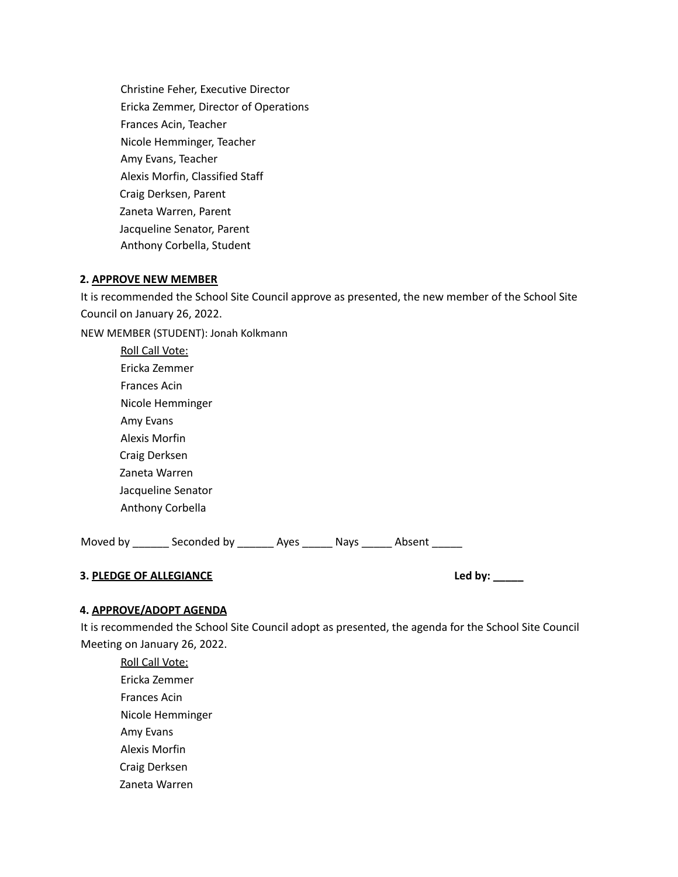Christine Feher, Executive Director Ericka Zemmer, Director of Operations Frances Acin, Teacher Nicole Hemminger, Teacher Amy Evans, Teacher Alexis Morfin, Classified Staff Craig Derksen, Parent Zaneta Warren, Parent Jacqueline Senator, Parent Anthony Corbella, Student

#### **2. APPROVE NEW MEMBER**

It is recommended the School Site Council approve as presented, the new member of the School Site Council on January 26, 2022.

NEW MEMBER (STUDENT): Jonah Kolkmann

| Roll Call Vote:    |
|--------------------|
| Fricka Zemmer      |
| Frances Acin       |
| Nicole Hemminger   |
| Amy Evans          |
| Alexis Morfin      |
| Craig Derksen      |
| Zaneta Warren      |
| Jacqueline Senator |
| Anthony Corbella   |

Moved by \_\_\_\_\_\_\_ Seconded by \_\_\_\_\_\_\_ Ayes \_\_\_\_\_\_ Nays \_\_\_\_\_\_ Absent \_\_\_\_\_\_

# **3. PLEDGE OF ALLEGIANCE Led by: \_\_\_\_\_**

#### **4. APPROVE/ADOPT AGENDA**

It is recommended the School Site Council adopt as presented, the agenda for the School Site Council Meeting on January 26, 2022.

Roll Call Vote: Ericka Zemmer Frances Acin Nicole Hemminger Amy Evans Alexis Morfin Craig Derksen Zaneta Warren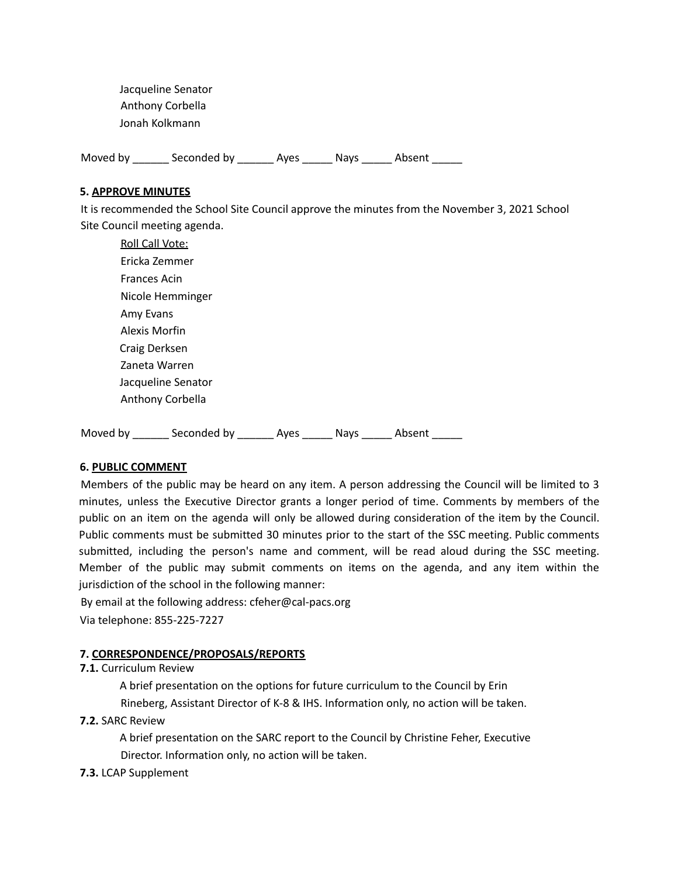Jacqueline Senator Anthony Corbella Jonah Kolkmann

Moved by \_\_\_\_\_\_\_ Seconded by \_\_\_\_\_\_\_ Ayes \_\_\_\_\_\_ Nays \_\_\_\_\_\_ Absent \_\_\_\_\_\_

#### **5. APPROVE MINUTES**

It is recommended the School Site Council approve the minutes from the November 3, 2021 School Site Council meeting agenda.

| <b>Roll Call Vote:</b> |
|------------------------|
| Fricka Zemmer          |
| <b>Frances Acin</b>    |
| Nicole Hemminger       |
| Amy Evans              |
| Alexis Morfin          |
| Craig Derksen          |
| Zaneta Warren          |
| Jacqueline Senator     |
| Anthony Corbella       |
|                        |

Moved by disconded by and Ayes and American Absent

#### **6. PUBLIC COMMENT**

Members of the public may be heard on any item. A person addressing the Council will be limited to 3 minutes, unless the Executive Director grants a longer period of time. Comments by members of the public on an item on the agenda will only be allowed during consideration of the item by the Council. Public comments must be submitted 30 minutes prior to the start of the SSC meeting. Public comments submitted, including the person's name and comment, will be read aloud during the SSC meeting. Member of the public may submit comments on items on the agenda, and any item within the jurisdiction of the school in the following manner:

By email at the following address: cfeher@cal-pacs.org Via telephone: 855-225-7227

### **7. CORRESPONDENCE/PROPOSALS/REPORTS**

#### **7.1.** Curriculum Review

A brief presentation on the options for future curriculum to the Council by Erin

Rineberg, Assistant Director of K-8 & IHS. Information only, no action will be taken.

### **7.2.** SARC Review

A brief presentation on the SARC report to the Council by Christine Feher, Executive Director. Information only, no action will be taken.

### **7.3.** LCAP Supplement